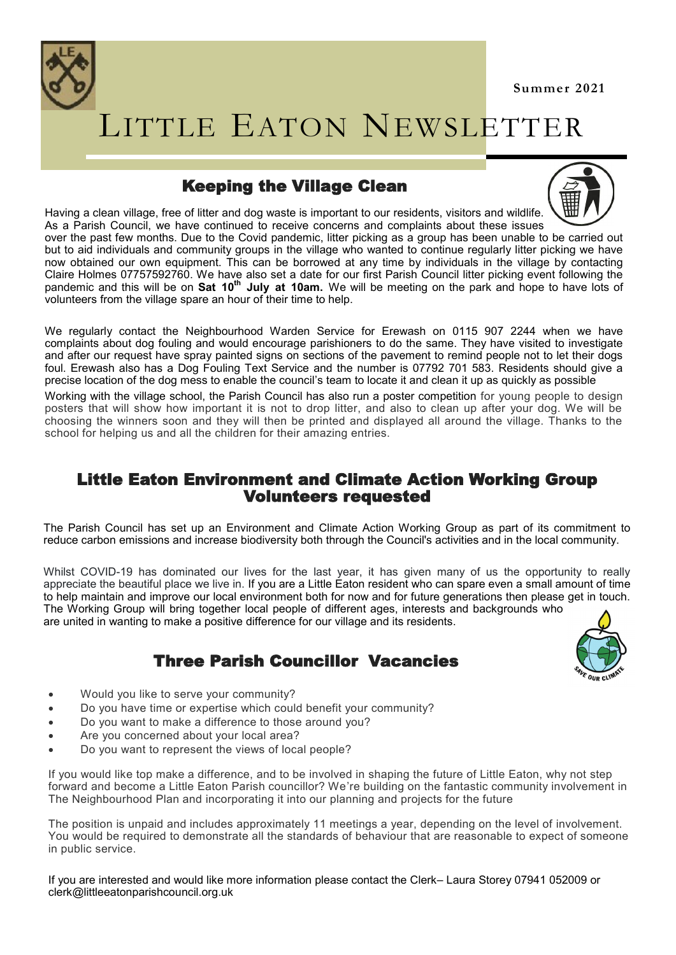



# LITTLE EATON NEWSLETTER

## Keeping the Village Clean



Having a clean village, free of litter and dog waste is important to our residents, visitors and wildlife. As a Parish Council, we have continued to receive concerns and complaints about these issues over the past few months. Due to the Covid pandemic, litter picking as a group has been unable to be carried out but to aid individuals and community groups in the village who wanted to continue regularly litter picking we have now obtained our own equipment. This can be borrowed at any time by individuals in the village by contacting Claire Holmes 07757592760. We have also set a date for our first Parish Council litter picking event following the pandemic and this will be on **Sat 10th July at 10am.** We will be meeting on the park and hope to have lots of volunteers from the village spare an hour of their time to help.

We regularly contact the Neighbourhood Warden Service for Erewash on 0115 907 2244 when we have complaints about dog fouling and would encourage parishioners to do the same. They have visited to investigate and after our request have spray painted signs on sections of the pavement to remind people not to let their dogs foul. Erewash also has a Dog Fouling Text Service and the number is 07792 701 583. Residents should give a precise location of the dog mess to enable the council's team to locate it and clean it up as quickly as possible

Working with the village school, the Parish Council has also run a poster competition for young people to design posters that will show how important it is not to drop litter, and also to clean up after your dog. We will be choosing the winners soon and they will then be printed and displayed all around the village. Thanks to the school for helping us and all the children for their amazing entries.

### Little Eaton Environment and Climate Action Working Group Volunteers requested

The Parish Council has set up an Environment and Climate Action Working Group as part of its commitment to reduce carbon emissions and increase biodiversity both through the Council's activities and in the local community.

Whilst COVID-19 has dominated our lives for the last year, it has given many of us the opportunity to really appreciate the beautiful place we live in. If you are a Little Eaton resident who can spare even a small amount of time to help maintain and improve our local environment both for now and for future generations then please get in touch. The Working Group will bring together local people of different ages, interests and backgrounds who are united in wanting to make a positive difference for our village and its residents.

## Three Parish Councillor Vacancies



- Would you like to serve your community?
- Do you have time or expertise which could benefit your community?
- Do you want to make a difference to those around you?
- Are you concerned about your local area?
- Do you want to represent the views of local people?

If you would like top make a difference, and to be involved in shaping the future of Little Eaton, why not step forward and become a Little Eaton Parish councillor? We're building on the fantastic community involvement in The Neighbourhood Plan and incorporating it into our planning and projects for the future

The position is unpaid and includes approximately 11 meetings a year, depending on the level of involvement. You would be required to demonstrate all the standards of behaviour that are reasonable to expect of someone in public service.

If you are interested and would like more information please contact the Clerk– Laura Storey 07941 052009 or clerk@littleeatonparishcouncil.org.uk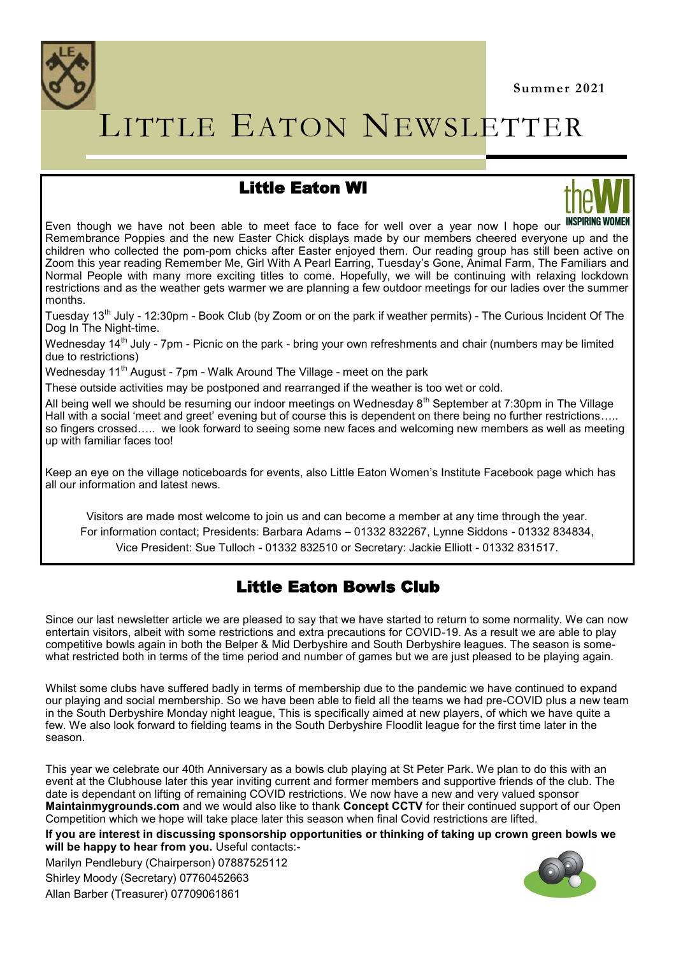

# LITTLE EATON NEWSLETTER

## Little Eaton WI



Even though we have not been able to meet face to face for well over a year now I hope our Remembrance Poppies and the new Easter Chick displays made by our members cheered everyone up and the children who collected the pom-pom chicks after Easter enjoyed them. Our reading group has still been active on Zoom this year reading Remember Me, Girl With A Pearl Earring, Tuesday's Gone, Animal Farm, The Familiars and Normal People with many more exciting titles to come. Hopefully, we will be continuing with relaxing lockdown restrictions and as the weather gets warmer we are planning a few outdoor meetings for our ladies over the summer months.

Tuesday 13th July - 12:30pm - Book Club (by Zoom or on the park if weather permits) - The Curious Incident Of The Dog In The Night-time.

Wednesdav 14<sup>th</sup> July - 7pm - Picnic on the park - bring your own refreshments and chair (numbers may be limited due to restrictions)

Wednesday 11<sup>th</sup> August - 7pm - Walk Around The Village - meet on the park

These outside activities may be postponed and rearranged if the weather is too wet or cold.

All being well we should be resuming our indoor meetings on Wednesday  $8<sup>th</sup>$  September at 7:30pm in The Village Hall with a social 'meet and greet' evening but of course this is dependent on there being no further restrictions…. so fingers crossed..... we look forward to seeing some new faces and welcoming new members as well as meeting up with familiar faces too!

Keep an eye on the village noticeboards for events, also Little Eaton Women's Institute Facebook page which has all our information and latest news.

Visitors are made most welcome to join us and can become a member at any time through the year. For information contact; Presidents: Barbara Adams – 01332 832267, Lynne Siddons - 01332 834834, Vice President: Sue Tulloch - 01332 832510 or Secretary: Jackie Elliott - 01332 831517.

## Little Eaton Bowls Club

Since our last newsletter article we are pleased to say that we have started to return to some normality. We can now entertain visitors, albeit with some restrictions and extra precautions for COVID-19. As a result we are able to play competitive bowls again in both the Belper & Mid Derbyshire and South Derbyshire leagues. The season is somewhat restricted both in terms of the time period and number of games but we are just pleased to be playing again.

Whilst some clubs have suffered badly in terms of membership due to the pandemic we have continued to expand our playing and social membership. So we have been able to field all the teams we had pre-COVID plus a new team in the South Derbyshire Monday night league, This is specifically aimed at new players, of which we have quite a few. We also look forward to fielding teams in the South Derbyshire Floodlit league for the first time later in the season.

This year we celebrate our 40th Anniversary as a bowls club playing at St Peter Park. We plan to do this with an event at the Clubhouse later this year inviting current and former members and supportive friends of the club. The date is dependant on lifting of remaining COVID restrictions. We now have a new and very valued sponsor **Maintainmygrounds.com** and we would also like to thank **Concept CCTV** for their continued support of our Open Competition which we hope will take place later this season when final Covid restrictions are lifted.

**If you are interest in discussing sponsorship opportunities or thinking of taking up crown green bowls we will be happy to hear from you.** Useful contacts:-

Marilyn Pendlebury (Chairperson) 07887525112 Shirley Moody (Secretary) 07760452663 Allan Barber (Treasurer) 07709061861

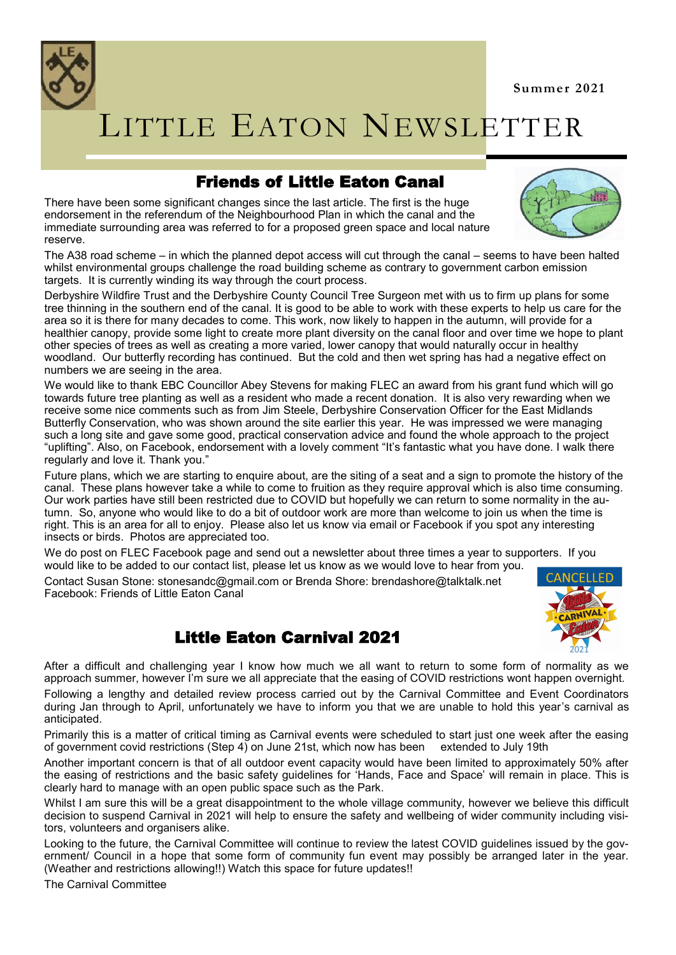**Summer 2021**



# LITTLE EATON NEWSLETTER

## Friends of Little Eaton Canal

There have been some significant changes since the last article. The first is the huge endorsement in the referendum of the Neighbourhood Plan in which the canal and the immediate surrounding area was referred to for a proposed green space and local nature reserve.



The A38 road scheme – in which the planned depot access will cut through the canal – seems to have been halted whilst environmental groups challenge the road building scheme as contrary to government carbon emission targets. It is currently winding its way through the court process.

Derbyshire Wildfire Trust and the Derbyshire County Council Tree Surgeon met with us to firm up plans for some tree thinning in the southern end of the canal. It is good to be able to work with these experts to help us care for the area so it is there for many decades to come. This work, now likely to happen in the autumn, will provide for a healthier canopy, provide some light to create more plant diversity on the canal floor and over time we hope to plant other species of trees as well as creating a more varied, lower canopy that would naturally occur in healthy woodland. Our butterfly recording has continued. But the cold and then wet spring has had a negative effect on numbers we are seeing in the area.

We would like to thank EBC Councillor Abey Stevens for making FLEC an award from his grant fund which will go towards future tree planting as well as a resident who made a recent donation. It is also very rewarding when we receive some nice comments such as from Jim Steele, Derbyshire Conservation Officer for the East Midlands Butterfly Conservation, who was shown around the site earlier this year. He was impressed we were managing such a long site and gave some good, practical conservation advice and found the whole approach to the project "uplifting". Also, on Facebook, endorsement with a lovely comment "It's fantastic what you have done. I walk there regularly and love it. Thank you."

Future plans, which we are starting to enquire about, are the siting of a seat and a sign to promote the history of the canal. These plans however take a while to come to fruition as they require approval which is also time consuming. Our work parties have still been restricted due to COVID but hopefully we can return to some normality in the autumn. So, anyone who would like to do a bit of outdoor work are more than welcome to join us when the time is right. This is an area for all to enjoy. Please also let us know via email or Facebook if you spot any interesting insects or birds. Photos are appreciated too.

We do post on FLEC Facebook page and send out a newsletter about three times a year to supporters. If you would like to be added to our contact list, please let us know as we would love to hear from you.

Contact Susan Stone: stonesandc@gmail.com or Brenda Shore: brendashore@talktalk.net Facebook: Friends of Little Eaton Canal



## Little Eaton Carnival 2021

After a difficult and challenging year I know how much we all want to return to some form of normality as we approach summer, however I'm sure we all appreciate that the easing of COVID restrictions wont happen overnight. Following a lengthy and detailed review process carried out by the Carnival Committee and Event Coordinators

during Jan through to April, unfortunately we have to inform you that we are unable to hold this year's carnival as anticipated.

Primarily this is a matter of critical timing as Carnival events were scheduled to start just one week after the easing of government covid restrictions (Step 4) on June 21st, which now has been extended to July 19th

Another important concern is that of all outdoor event capacity would have been limited to approximately 50% after the easing of restrictions and the basic safety guidelines for 'Hands, Face and Space' will remain in place. This is clearly hard to manage with an open public space such as the Park.

Whilst I am sure this will be a great disappointment to the whole village community, however we believe this difficult decision to suspend Carnival in 2021 will help to ensure the safety and wellbeing of wider community including visitors, volunteers and organisers alike.

Looking to the future, the Carnival Committee will continue to review the latest COVID guidelines issued by the government/ Council in a hope that some form of community fun event may possibly be arranged later in the year. (Weather and restrictions allowing!!) Watch this space for future updates!!

The Carnival Committee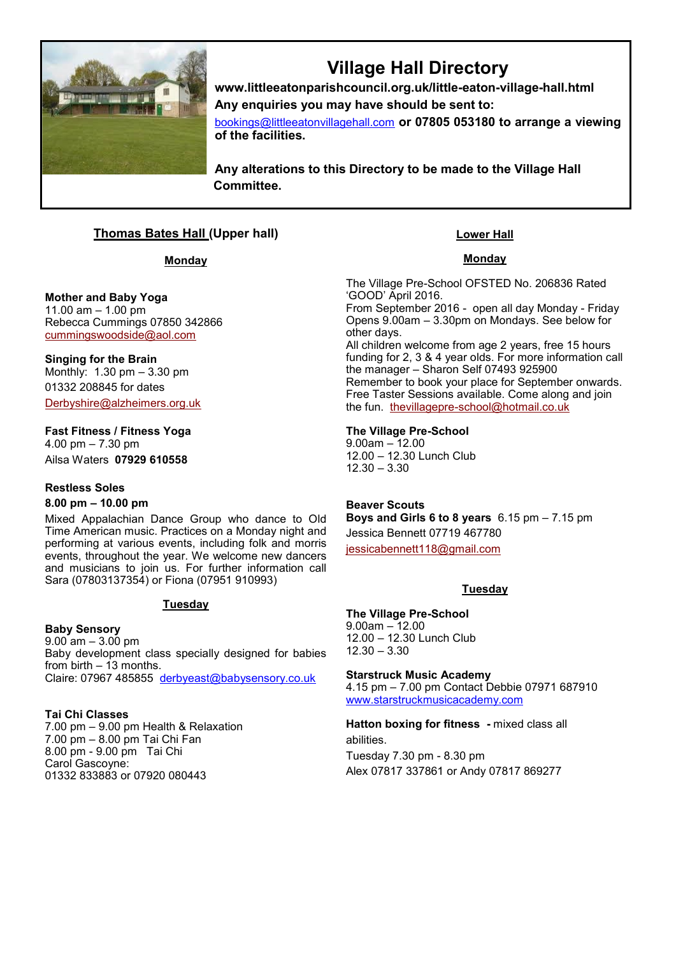

# **Village Hall Directory**

**www.littleeatonparishcouncil.org.uk/little-eaton-village-hall.html Any enquiries you may have should be sent to:**

[bookings@littleeatonvillagehall.com](mailto:bookings@littleeatonvillagehall.com) **or 07805 053180 to arrange a viewing of the facilities.** 

**Any alterations to this Directory to be made to the Village Hall Committee.**

### **Thomas Bates Hall (Upper hall)**

#### **Monday**

#### **Mother and Baby Yoga** 11.00 am – 1.00 pm

Rebecca Cummings 07850 342866 [cummingswoodside@aol.com](mailto:cummingswoodside@aol.com)

**Singing for the Brain** Monthly: 1.30 pm – 3.30 pm 01332 208845 for dates [Derbyshire@alzheimers.org.uk](mailto:Derbyshire@alzheimers.org.uk)

**Fast Fitness / Fitness Yoga** 

4.00 pm – 7.30 pm Ailsa Waters **07929 610558**

#### **Restless Soles**

#### **8.00 pm – 10.00 pm**

Mixed Appalachian Dance Group who dance to Old Time American music. Practices on a Monday night and performing at various events, including folk and morris events, throughout the year. We welcome new dancers and musicians to join us. For further information call Sara (07803137354) or Fiona (07951 910993)

#### **Tuesday**

**Baby Sensory** 9.00 am – 3.00 pm Baby development class specially designed for babies from birth  $-13$  months. Claire: 07967 485855 [derbyeast@babysensory.co.uk](mailto:derbyeast@babysensory.co.uk)

#### **Tai Chi Classes**

7.00 pm – 9.00 pm Health & Relaxation 7.00 pm – 8.00 pm Tai Chi Fan 8.00 pm - 9.00 pm Tai Chi Carol Gascoyne: 01332 833883 or 07920 080443

#### **Lower Hall**

#### **Monday**

The Village Pre-School OFSTED No. 206836 Rated 'GOOD' April 2016.

From September 2016 - open all day Monday - Friday Opens 9.00am – 3.30pm on Mondays. See below for other days. All children welcome from age 2 years, free 15 hours funding for 2, 3 & 4 year olds. For more information call the manager – Sharon Self 07493 925900 Remember to book your place for September onwards. Free Taster Sessions available. Come along and join

the fun. thevillagepre-[school@hotmail.co.uk](mailto:thevillagepre-school@hotmail.co.uk)

#### **The Village Pre-School**

9.00am – 12.00 12.00 – 12.30 Lunch Club 12.30 – 3.30

**Beaver Scouts Boys and Girls 6 to 8 years** 6.15 pm – 7.15 pm Jessica Bennett 07719 467780 [jessicabennett118@gmail.com](mailto:jessicabennett118@gmail.com)

#### **Tuesday**

#### **The Village Pre-School**

9.00am – 12.00 12.00 – 12.30 Lunch Club 12.30 – 3.30

**Starstruck Music Academy**

4.15 pm – 7.00 pm Contact Debbie 07971 687910 [www.starstruckmusicacademy.com](http://www.starstruckmusicacademy.com)

**Hatton boxing for fitness -** mixed class all abilities. Tuesday 7.30 pm - 8.30 pm Alex 07817 337861 or Andy 07817 869277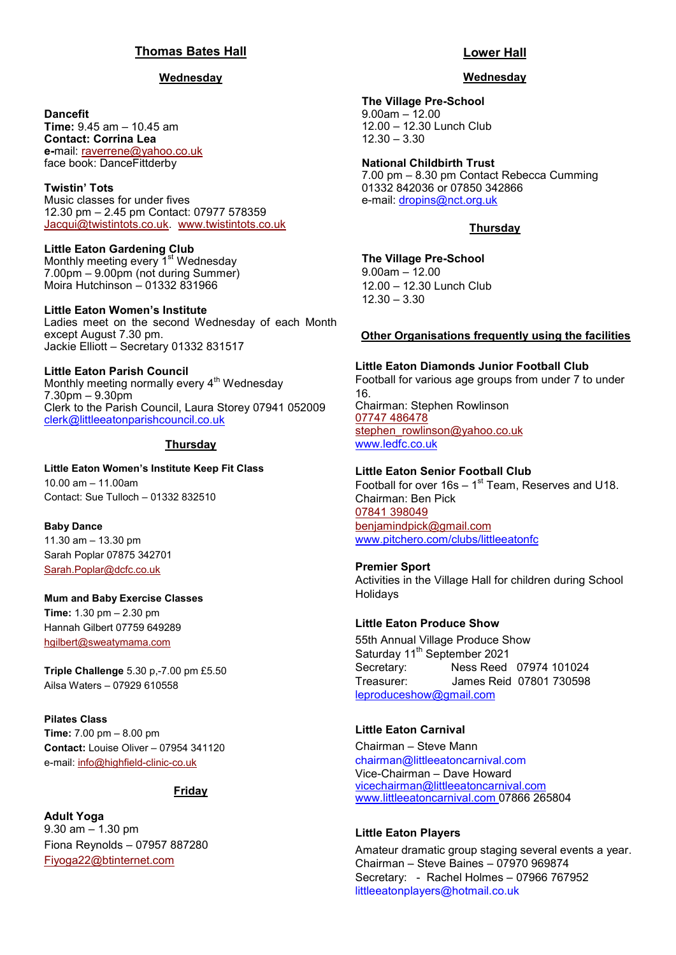#### **Thomas Bates Hall**

#### **Wednesday**

#### **Dancefit**

**Time:** 9.45 am – 10.45 am **Contact: Corrina Lea e-**mail: [raverrene@yahoo.co.uk](mailto:raverrene@yahoo.co.uk) face book: DanceFittderby

#### **Twistin' Tots**

Music classes for under fives 12.30 pm – 2.45 pm Contact: 07977 578359 [Jacqui@twistintots.co.uk.](mailto:Jacqui@twistintots.co.uk) [www.twistintots.co.uk](http://www.twistintots.co.uk)

**Little Eaton Gardening Club** Monthly meeting every 1<sup>st</sup> Wednesday 7.00pm – 9.00pm (not during Summer) Moira Hutchinson – 01332 831966

#### **Little Eaton Women's Institute**

Ladies meet on the second Wednesday of each Month except August 7.30 pm. Jackie Elliott – Secretary 01332 831517

#### **Little Eaton Parish Council**

Monthly meeting normally every 4<sup>th</sup> Wednesdav 7.30pm – 9.30pm Clerk to the Parish Council, Laura Storey 07941 052009 [clerk@littleeatonparishcouncil.co.uk](mailto:clerk@littleeatonparishcouncil.co.uk)

#### **Thursday**

**Little Eaton Women's Institute Keep Fit Class** 10.00 am – 11.00am Contact: Sue Tulloch – 01332 832510

**Baby Dance**  11.30 am – 13.30 pm Sarah Poplar 07875 342701 [Sarah.Poplar@dcfc.co.uk](mailto:Sarah.Poplar@dcfc.co.uk)

#### **Mum and Baby Exercise Classes**

**Time:** 1.30 pm – 2.30 pm Hannah Gilbert 07759 649289 [hgilbert@sweatymama.com](mailto:hgilbert@sweatymama.com)

**Triple Challenge** 5.30 p,-7.00 pm £5.50 Ailsa Waters – 07929 610558

**Pilates Class Time:** 7.00 pm – 8.00 pm **Contact:** Louise Oliver – 07954 341120 e-mail: [info@highfield](mailto:info@highfield-clinic-co.uk)-clinic-co.uk

#### **Friday**

**Adult Yoga** 9.30 am – 1.30 pm Fiona Reynolds – 07957 887280 [Fiyoga22@btinternet.com](mailto:Fiyoga22@btinternet.com)

#### **Lower Hall**

#### **Wednesday**

**The Village Pre-School** 9.00am – 12.00 12.00 – 12.30 Lunch Club 12.30 – 3.30

**National Childbirth Trust** 7.00 pm – 8.30 pm Contact Rebecca Cumming 01332 842036 or 07850 342866 e-mail: [dropins@nct.org.uk](mailto:dropins@nct.org.uk)

#### **Thursday**

**The Village Pre-School** 9.00am – 12.00 12.00 – 12.30 Lunch Club 12.30 – 3.30

#### **Other Organisations frequently using the facilities**

**Little Eaton Diamonds Junior Football Club** Football for various age groups from under 7 to under 16. Chairman: Stephen Rowlinson [07747 486478](tel:07747486478) [stephen\\_rowlinson@yahoo.co.uk](mailto:stephen_rowlinson@yahoo.co.uk) www.ledfc.co.uk

#### **Little Eaton Senior Football Club**

Football for over  $16s - 1<sup>st</sup>$  Team, Reserves and U18. Chairman: Ben Pick [07841 398049](tel:07841398049) [benjamindpick@gmail.com](mailto:benjamindpick@gmail.com) www.pitchero.com/clubs/littleeatonfc

#### **Premier Sport**

Activities in the Village Hall for children during School **Holidavs** 

#### **Little Eaton Produce Show**

55th Annual Village Produce Show Saturday 11<sup>th</sup> September 2021 Secretary: Ness Reed 07974 101024 Treasurer: James Reid 07801 730598 [leproduceshow@gmail.com](mailto:leproduceshow@gmail.com)

#### **Little Eaton Carnival**

Chairman – Steve Mann chairman@littleeatoncarnival.com Vice-Chairman – Dave Howard [vicechairman@littleeatoncarnival.com](mailto:vicechairman@littleeatoncarnival.com) [www.littleeatoncarnival.com](http://www.littleeatoncarnival.com) 07866 265804

#### **Little Eaton Players**

Amateur dramatic group staging several events a year. Chairman – Steve Baines – 07970 969874 Secretary: - Rachel Holmes – 07966 767952 littleeatonplayers@hotmail.co.uk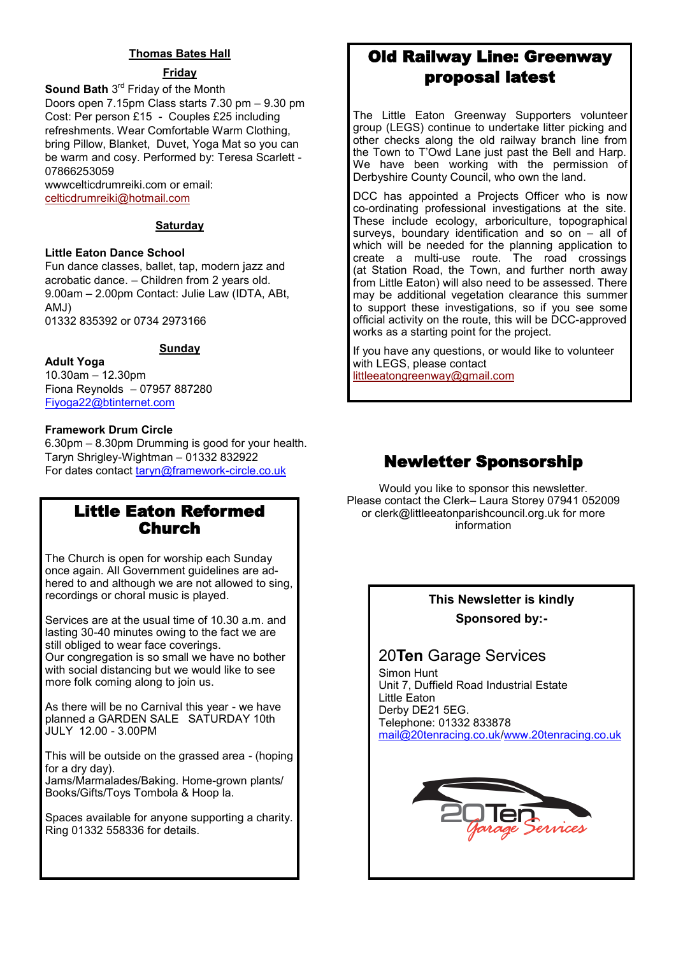#### **Thomas Bates Hall**

#### **Friday**

**Sound Bath** 3<sup>rd</sup> Friday of the Month Doors open 7.15pm Class starts 7.30 pm – 9.30 pm Cost: Per person £15 - Couples £25 including refreshments. Wear Comfortable Warm Clothing, bring Pillow, Blanket, Duvet, Yoga Mat so you can be warm and cosy. Performed by: Teresa Scarlett - 07866253059

wwwcelticdrumreiki.com or email: [celticdrumreiki@hotmail.com](mailto:celticdrumreiki@hotmail.com)

#### **Saturday**

#### **Little Eaton Dance School**

Fun dance classes, ballet, tap, modern jazz and acrobatic dance. – Children from 2 years old. 9.00am – 2.00pm Contact: Julie Law (IDTA, ABt, AMJ) 01332 835392 or 0734 2973166

#### **Sunday**

**Adult Yoga** 10.30am – 12.30pm Fiona Reynolds – 07957 887280 Fiyoga22@btinternet.com

#### **Framework Drum Circle**

6.30pm – 8.30pm Drumming is good for your health. Taryn Shrigley-Wightman – 01332 832922 For dates contact taryn@framework-circle.co.uk

### Little Eaton Reformed Church

The Church is open for worship each Sunday once again. All Government guidelines are adhered to and although we are not allowed to sing. recordings or choral music is played.

Services are at the usual time of 10.30 a.m. and lasting 30-40 minutes owing to the fact we are still obliged to wear face coverings. Our congregation is so small we have no bother with social distancing but we would like to see more folk coming along to join us.

As there will be no Carnival this year - we have planned a GARDEN SALE SATURDAY 10th JULY 12.00 - 3.00PM

This will be outside on the grassed area - (hoping for a dry day). Jams/Marmalades/Baking. Home-grown plants/ Books/Gifts/Toys Tombola & Hoop la.

Spaces available for anyone supporting a charity. Ring 01332 558336 for details.

## Old Railway Line: Greenway proposal latest

The Little Eaton Greenway Supporters volunteer group (LEGS) continue to undertake litter picking and other checks along the old railway branch line from the Town to T'Owd Lane just past the Bell and Harp. We have been working with the permission of Derbyshire County Council, who own the land.

DCC has appointed a Projects Officer who is now co-ordinating professional investigations at the site. These include ecology, arboriculture, topographical surveys, boundary identification and so on – all of which will be needed for the planning application to create a multi-use route. The road crossings (at Station Road, the Town, and further north away from Little Eaton) will also need to be assessed. There may be additional vegetation clearance this summer to support these investigations, so if you see some official activity on the route, this will be DCC-approved works as a starting point for the project.

If you have any questions, or would like to volunteer with LEGS, please contact [littleeatongreenway@gmail.com](mailto:littleeatongreenway@gmail.com)

## Newletter Sponsorship

Would you like to sponsor this newsletter. Please contact the Clerk– Laura Storey 07941 052009 or clerk@littleeatonparishcouncil.org.uk for more information

## **This Newsletter is kindly Sponsored by:-**

## 20**Ten** Garage Services

Simon Hunt Unit 7, Duffield Road Industrial Estate Little Eaton Derby DE21 5EG. Telephone: 01332 833878 [mail@20tenracing.co.uk/](mailto:mail@20tenracing.co.uk)[www.20tenracing.co.uk](http://www.20tenracing.co.uk/)

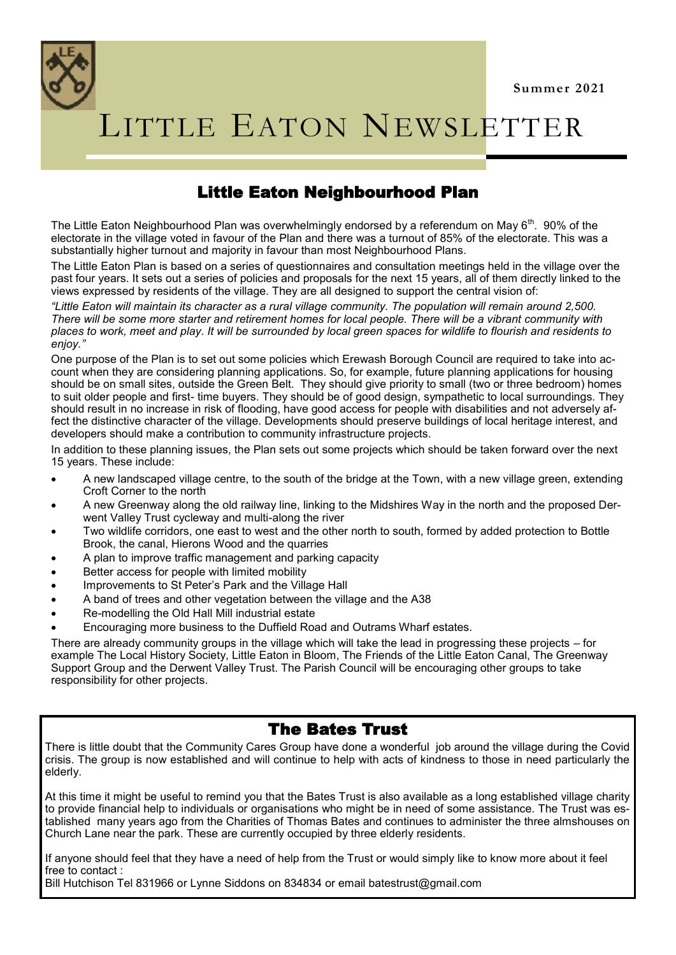

# LITTLE EATON NEWSLETTER

## Little Eaton Neighbourhood Plan

The Little Eaton Neighbourhood Plan was overwhelmingly endorsed by a referendum on May  $6^{th}$ . 90% of the electorate in the village voted in favour of the Plan and there was a turnout of 85% of the electorate. This was a substantially higher turnout and majority in favour than most Neighbourhood Plans.

The Little Eaton Plan is based on a series of questionnaires and consultation meetings held in the village over the past four years. It sets out a series of policies and proposals for the next 15 years, all of them directly linked to the views expressed by residents of the village. They are all designed to support the central vision of:

*"Little Eaton will maintain its character as a rural village community. The population will remain around 2,500. There will be some more starter and retirement homes for local people. There will be a vibrant community with places to work, meet and play. It will be surrounded by local green spaces for wildlife to flourish and residents to enjoy."* 

One purpose of the Plan is to set out some policies which Erewash Borough Council are required to take into account when they are considering planning applications. So, for example, future planning applications for housing should be on small sites, outside the Green Belt. They should give priority to small (two or three bedroom) homes to suit older people and first- time buyers. They should be of good design, sympathetic to local surroundings. They should result in no increase in risk of flooding, have good access for people with disabilities and not adversely affect the distinctive character of the village. Developments should preserve buildings of local heritage interest, and developers should make a contribution to community infrastructure projects.

In addition to these planning issues, the Plan sets out some projects which should be taken forward over the next 15 years. These include:

- A new landscaped village centre, to the south of the bridge at the Town, with a new village green, extending Croft Corner to the north
- A new Greenway along the old railway line, linking to the Midshires Way in the north and the proposed Derwent Valley Trust cycleway and multi-along the river
- Two wildlife corridors, one east to west and the other north to south, formed by added protection to Bottle Brook, the canal, Hierons Wood and the quarries
- A plan to improve traffic management and parking capacity
- Better access for people with limited mobility
- Improvements to St Peter's Park and the Village Hall
- A band of trees and other vegetation between the village and the A38
- Re-modelling the Old Hall Mill industrial estate
- Encouraging more business to the Duffield Road and Outrams Wharf estates.

There are already community groups in the village which will take the lead in progressing these projects – for example The Local History Society, Little Eaton in Bloom, The Friends of the Little Eaton Canal, The Greenway Support Group and the Derwent Valley Trust. The Parish Council will be encouraging other groups to take responsibility for other projects.

### The Bates Trust

There is little doubt that the Community Cares Group have done a wonderful job around the village during the Covid crisis. The group is now established and will continue to help with acts of kindness to those in need particularly the elderly.

At this time it might be useful to remind you that the Bates Trust is also available as a long established village charity to provide financial help to individuals or organisations who might be in need of some assistance. The Trust was established many years ago from the Charities of Thomas Bates and continues to administer the three almshouses on Church Lane near the park. These are currently occupied by three elderly residents.

If anyone should feel that they have a need of help from the Trust or would simply like to know more about it feel free to contact :

Bill Hutchison Tel 831966 or Lynne Siddons on 834834 or email batestrust@gmail.com